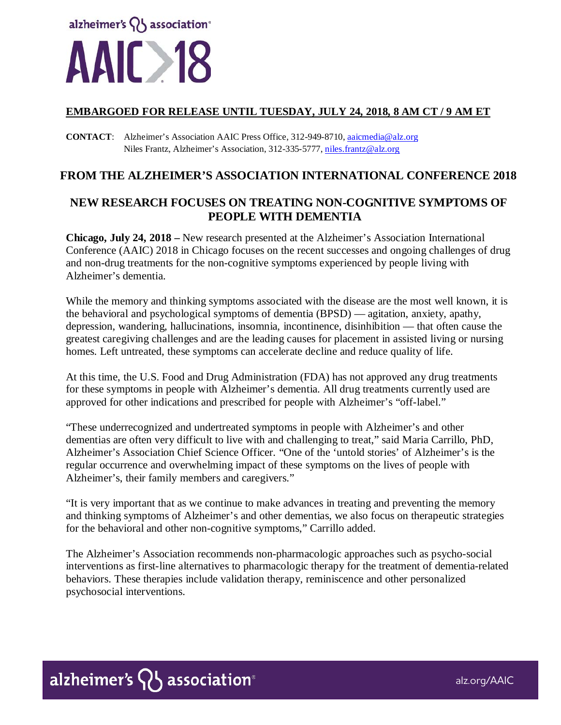

# **EMBARGOED FOR RELEASE UNTIL TUESDAY, JULY 24, 2018, 8 AM CT / 9 AM ET**

**CONTACT**: Alzheimer's Association AAIC Press Office, 312-949-8710, [aaicmedia@alz.org](mailto:aaicmedia@alz.org) Niles Frantz, Alzheimer's Association, 312-335-5777, [niles.frantz@alz.org](mailto:niles.frantz@alz.org)

# **FROM THE ALZHEIMER'S ASSOCIATION INTERNATIONAL CONFERENCE 2018**

# **NEW RESEARCH FOCUSES ON TREATING NON-COGNITIVE SYMPTOMS OF PEOPLE WITH DEMENTIA**

**Chicago, July 24, 2018 –** New research presented at the Alzheimer's Association International Conference (AAIC) 2018 in Chicago focuses on the recent successes and ongoing challenges of drug and non-drug treatments for the non-cognitive symptoms experienced by people living with Alzheimer's dementia.

While the memory and thinking symptoms associated with the disease are the most well known, it is the behavioral and psychological symptoms of dementia (BPSD) — agitation, anxiety, apathy, depression, wandering, hallucinations, insomnia, incontinence, disinhibition — that often cause the greatest caregiving challenges and are the leading causes for placement in assisted living or nursing homes. Left untreated, these symptoms can accelerate decline and reduce quality of life.

At this time, the U.S. Food and Drug Administration (FDA) has not approved any drug treatments for these symptoms in people with Alzheimer's dementia. All drug treatments currently used are approved for other indications and prescribed for people with Alzheimer's "off-label."

"These underrecognized and undertreated symptoms in people with Alzheimer's and other dementias are often very difficult to live with and challenging to treat," said Maria Carrillo, PhD, Alzheimer's Association Chief Science Officer. "One of the 'untold stories' of Alzheimer's is the regular occurrence and overwhelming impact of these symptoms on the lives of people with Alzheimer's, their family members and caregivers."

"It is very important that as we continue to make advances in treating and preventing the memory and thinking symptoms of Alzheimer's and other dementias, we also focus on therapeutic strategies for the behavioral and other non-cognitive symptoms," Carrillo added.

The Alzheimer's Association recommends non-pharmacologic approaches such as psycho-social interventions as first-line alternatives to pharmacologic therapy for the treatment of dementia-related behaviors. These therapies include validation therapy, reminiscence and other personalized psychosocial interventions.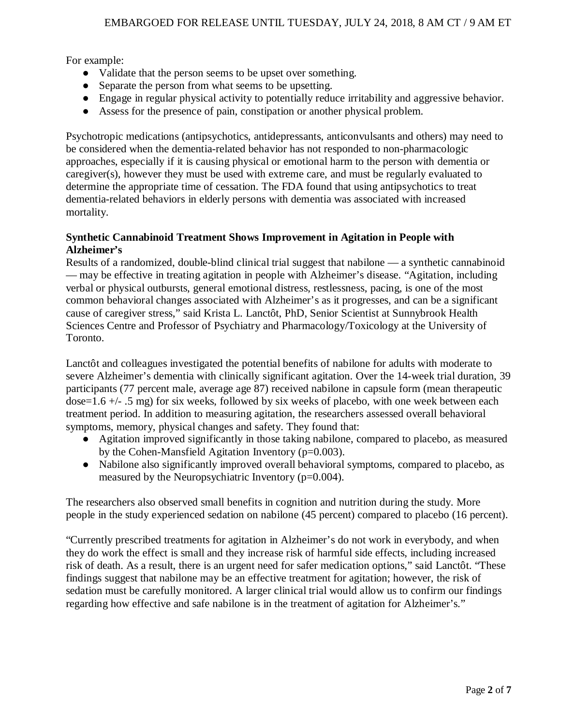For example:

- Validate that the person seems to be upset over something.
- Separate the person from what seems to be upsetting.
- Engage in regular physical activity to potentially reduce irritability and aggressive behavior.
- Assess for the presence of pain, constipation or another physical problem.

Psychotropic medications (antipsychotics, antidepressants, anticonvulsants and others) may need to be considered when the dementia-related behavior has not responded to non-pharmacologic approaches, especially if it is causing physical or emotional harm to the person with dementia or caregiver(s), however they must be used with extreme care, and must be regularly evaluated to determine the appropriate time of cessation. The FDA found that using antipsychotics to treat dementia-related behaviors in elderly persons with dementia was associated with increased mortality.

## **Synthetic Cannabinoid Treatment Shows Improvement in Agitation in People with Alzheimer's**

Results of a randomized, double-blind clinical trial suggest that nabilone — a synthetic cannabinoid — may be effective in treating agitation in people with Alzheimer's disease. "Agitation, including verbal or physical outbursts, general emotional distress, restlessness, pacing, is one of the most common behavioral changes associated with Alzheimer's as it progresses, and can be a significant cause of caregiver stress," said Krista L. Lanctôt, PhD, Senior Scientist at Sunnybrook Health Sciences Centre and Professor of Psychiatry and Pharmacology/Toxicology at the University of Toronto.

Lanctôt and colleagues investigated the potential benefits of nabilone for adults with moderate to severe Alzheimer's dementia with clinically significant agitation. Over the 14-week trial duration, 39 participants (77 percent male, average age 87) received nabilone in capsule form (mean therapeutic dose=1.6 +/- .5 mg) for six weeks, followed by six weeks of placebo, with one week between each treatment period. In addition to measuring agitation, the researchers assessed overall behavioral symptoms, memory, physical changes and safety. They found that:

- Agitation improved significantly in those taking nabilone, compared to placebo, as measured by the Cohen-Mansfield Agitation Inventory (p=0.003).
- Nabilone also significantly improved overall behavioral symptoms, compared to placebo, as measured by the Neuropsychiatric Inventory (p=0.004).

The researchers also observed small benefits in cognition and nutrition during the study. More people in the study experienced sedation on nabilone (45 percent) compared to placebo (16 percent).

"Currently prescribed treatments for agitation in Alzheimer's do not work in everybody, and when they do work the effect is small and they increase risk of harmful side effects, including increased risk of death. As a result, there is an urgent need for safer medication options," said Lanctôt. "These findings suggest that nabilone may be an effective treatment for agitation; however, the risk of sedation must be carefully monitored. A larger clinical trial would allow us to confirm our findings regarding how effective and safe nabilone is in the treatment of agitation for Alzheimer's."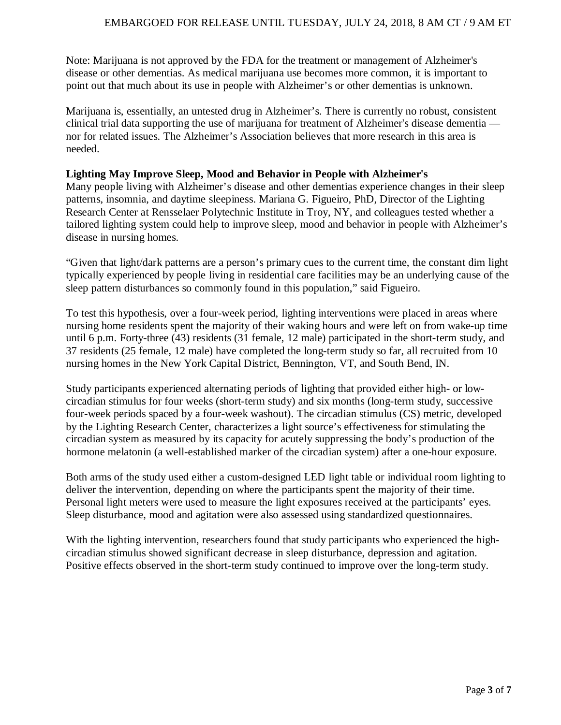Note: Marijuana is not approved by the FDA for the treatment or management of Alzheimer's disease or other dementias. As medical marijuana use becomes more common, it is important to point out that much about its use in people with Alzheimer's or other dementias is unknown.

Marijuana is, essentially, an untested drug in Alzheimer's. There is currently no robust, consistent clinical trial data supporting the use of marijuana for treatment of Alzheimer's disease dementia nor for related issues. The Alzheimer's Association believes that more research in this area is needed.

### **Lighting May Improve Sleep, Mood and Behavior in People with Alzheimer's**

Many people living with Alzheimer's disease and other dementias experience changes in their sleep patterns, insomnia, and daytime sleepiness. Mariana G. Figueiro, PhD, Director of the Lighting Research Center at Rensselaer Polytechnic Institute in Troy, NY, and colleagues tested whether a tailored lighting system could help to improve sleep, mood and behavior in people with Alzheimer's disease in nursing homes.

"Given that light/dark patterns are a person's primary cues to the current time, the constant dim light typically experienced by people living in residential care facilities may be an underlying cause of the sleep pattern disturbances so commonly found in this population," said Figueiro.

To test this hypothesis, over a four-week period, lighting interventions were placed in areas where nursing home residents spent the majority of their waking hours and were left on from wake-up time until 6 p.m. Forty-three (43) residents (31 female, 12 male) participated in the short-term study, and 37 residents (25 female, 12 male) have completed the long-term study so far, all recruited from 10 nursing homes in the New York Capital District, Bennington, VT, and South Bend, IN.

Study participants experienced alternating periods of lighting that provided either high- or lowcircadian stimulus for four weeks (short-term study) and six months (long-term study, successive four-week periods spaced by a four-week washout). The circadian stimulus (CS) metric, developed by the Lighting Research Center, characterizes a light source's effectiveness for stimulating the circadian system as measured by its capacity for acutely suppressing the body's production of the hormone melatonin (a well-established marker of the circadian system) after a one-hour exposure.

Both arms of the study used either a custom-designed LED light table or individual room lighting to deliver the intervention, depending on where the participants spent the majority of their time. Personal light meters were used to measure the light exposures received at the participants' eyes. Sleep disturbance, mood and agitation were also assessed using standardized questionnaires.

With the lighting intervention, researchers found that study participants who experienced the highcircadian stimulus showed significant decrease in sleep disturbance, depression and agitation. Positive effects observed in the short-term study continued to improve over the long-term study.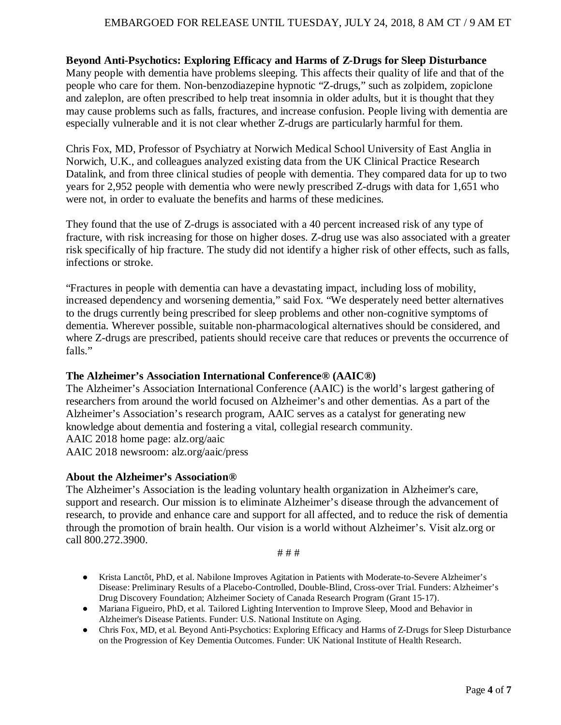**Beyond Anti-Psychotics: Exploring Efficacy and Harms of Z-Drugs for Sleep Disturbance**  Many people with dementia have problems sleeping. This affects their quality of life and that of the people who care for them. Non-benzodiazepine hypnotic "Z-drugs," such as zolpidem, zopiclone and zaleplon, are often prescribed to help treat insomnia in older adults, but it is thought that they may cause problems such as falls, fractures, and increase confusion. People living with dementia are especially vulnerable and it is not clear whether Z-drugs are particularly harmful for them.

Chris Fox, MD, Professor of Psychiatry at Norwich Medical School University of East Anglia in Norwich, U.K., and colleagues analyzed existing data from the UK Clinical Practice Research Datalink, and from three clinical studies of people with dementia. They compared data for up to two years for 2,952 people with dementia who were newly prescribed Z-drugs with data for 1,651 who were not, in order to evaluate the benefits and harms of these medicines.

They found that the use of Z-drugs is associated with a 40 percent increased risk of any type of fracture, with risk increasing for those on higher doses. Z-drug use was also associated with a greater risk specifically of hip fracture. The study did not identify a higher risk of other effects, such as falls, infections or stroke.

"Fractures in people with dementia can have a devastating impact, including loss of mobility, increased dependency and worsening dementia," said Fox. "We desperately need better alternatives to the drugs currently being prescribed for sleep problems and other non-cognitive symptoms of dementia. Wherever possible, suitable non-pharmacological alternatives should be considered, and where Z-drugs are prescribed, patients should receive care that reduces or prevents the occurrence of falls."

### **The Alzheimer's Association International Conference® (AAIC®)**

The Alzheimer's Association International Conference (AAIC) is the world's largest gathering of researchers from around the world focused on Alzheimer's and other dementias. As a part of the Alzheimer's Association's research program, AAIC serves as a catalyst for generating new knowledge about dementia and fostering a vital, collegial research community. AAIC 2018 home page: alz.org/aaic AAIC 2018 newsroom: alz.org/aaic/press

### **About the Alzheimer's Association®**

The Alzheimer's Association is the leading voluntary health organization in Alzheimer's care, support and research. Our mission is to eliminate Alzheimer's disease through the advancement of research, to provide and enhance care and support for all affected, and to reduce the risk of dementia through the promotion of brain health. Our vision is a world without Alzheimer's. Visit alz.org or call 800.272.3900.

#### # # #

- Krista Lanctôt, PhD, et al. Nabilone Improves Agitation in Patients with Moderate-to-Severe Alzheimer's Disease: Preliminary Results of a Placebo-Controlled, Double-Blind, Cross-over Trial. Funders: Alzheimer's Drug Discovery Foundation; Alzheimer Society of Canada Research Program (Grant 15-17).
- Mariana Figueiro, PhD, et al. Tailored Lighting Intervention to Improve Sleep, Mood and Behavior in Alzheimer's Disease Patients. Funder: U.S. National Institute on Aging.
- Chris Fox, MD, et al. Beyond Anti-Psychotics: Exploring Efficacy and Harms of Z-Drugs for Sleep Disturbance on the Progression of Key Dementia Outcomes. Funder: UK National Institute of Health Research.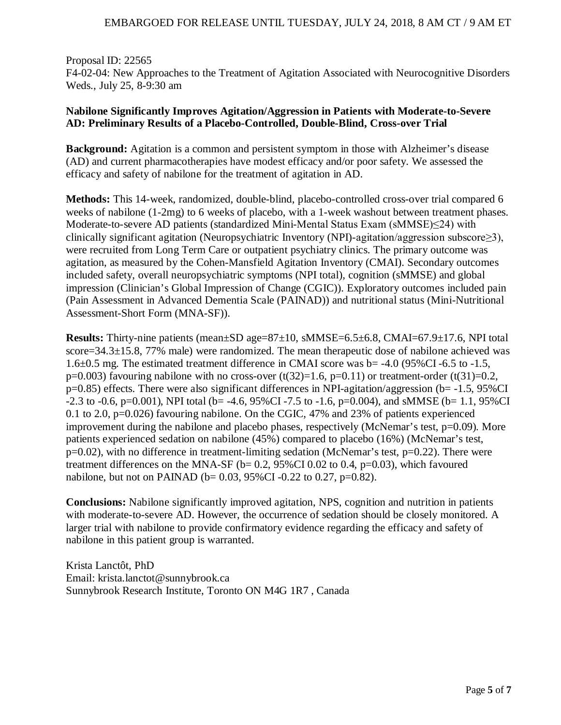## EMBARGOED FOR RELEASE UNTIL TUESDAY, JULY 24, 2018, 8 AM CT / 9 AM ET

#### Proposal ID: 22565

F4-02-04: New Approaches to the Treatment of Agitation Associated with Neurocognitive Disorders Weds., July 25, 8-9:30 am

### **Nabilone Significantly Improves Agitation/Aggression in Patients with Moderate-to-Severe AD: Preliminary Results of a Placebo-Controlled, Double-Blind, Cross-over Trial**

**Background:** Agitation is a common and persistent symptom in those with Alzheimer's disease (AD) and current pharmacotherapies have modest efficacy and/or poor safety. We assessed the efficacy and safety of nabilone for the treatment of agitation in AD.

**Methods:** This 14-week, randomized, double-blind, placebo-controlled cross-over trial compared 6 weeks of nabilone (1-2mg) to 6 weeks of placebo, with a 1-week washout between treatment phases. Moderate-to-severe AD patients (standardized Mini-Mental Status Exam (sMMSE)≤24) with clinically significant agitation (Neuropsychiatric Inventory (NPI)-agitation/aggression subscore≥3), were recruited from Long Term Care or outpatient psychiatry clinics. The primary outcome was agitation, as measured by the Cohen-Mansfield Agitation Inventory (CMAI). Secondary outcomes included safety, overall neuropsychiatric symptoms (NPI total), cognition (sMMSE) and global impression (Clinician's Global Impression of Change (CGIC)). Exploratory outcomes included pain (Pain Assessment in Advanced Dementia Scale (PAINAD)) and nutritional status (Mini-Nutritional Assessment-Short Form (MNA-SF)).

**Results:** Thirty-nine patients (mean±SD age=87±10, sMMSE=6.5±6.8, CMAI=67.9±17.6, NPI total score=34.3±15.8, 77% male) were randomized. The mean therapeutic dose of nabilone achieved was 1.6±0.5 mg. The estimated treatment difference in CMAI score was b= -4.0 (95%CI -6.5 to -1.5,  $p=0.003$ ) favouring nabilone with no cross-over  $(t(32)=1.6, p=0.11)$  or treatment-order  $(t(31)=0.2,$ p=0.85) effects. There were also significant differences in NPI-agitation/aggression (b= -1.5, 95%CI  $-2.3$  to  $-0.6$ , p=0.001), NPI total (b=  $-4.6$ , 95%CI  $-7.5$  to  $-1.6$ , p=0.004), and sMMSE (b= 1.1, 95%CI 0.1 to 2.0, p=0.026) favouring nabilone. On the CGIC, 47% and 23% of patients experienced improvement during the nabilone and placebo phases, respectively (McNemar's test,  $p=0.09$ ). More patients experienced sedation on nabilone (45%) compared to placebo (16%) (McNemar's test,  $p=0.02$ ), with no difference in treatment-limiting sedation (McNemar's test,  $p=0.22$ ). There were treatment differences on the MNA-SF ( $b= 0.2$ , 95%CI 0.02 to 0.4, p=0.03), which favoured nabilone, but not on PAINAD ( $b= 0.03$ , 95%CI -0.22 to 0.27, p=0.82).

**Conclusions:** Nabilone significantly improved agitation, NPS, cognition and nutrition in patients with moderate-to-severe AD. However, the occurrence of sedation should be closely monitored. A larger trial with nabilone to provide confirmatory evidence regarding the efficacy and safety of nabilone in this patient group is warranted.

Krista Lanctôt, PhD Email: krista.lanctot@sunnybrook.ca Sunnybrook Research Institute, Toronto ON M4G 1R7 , Canada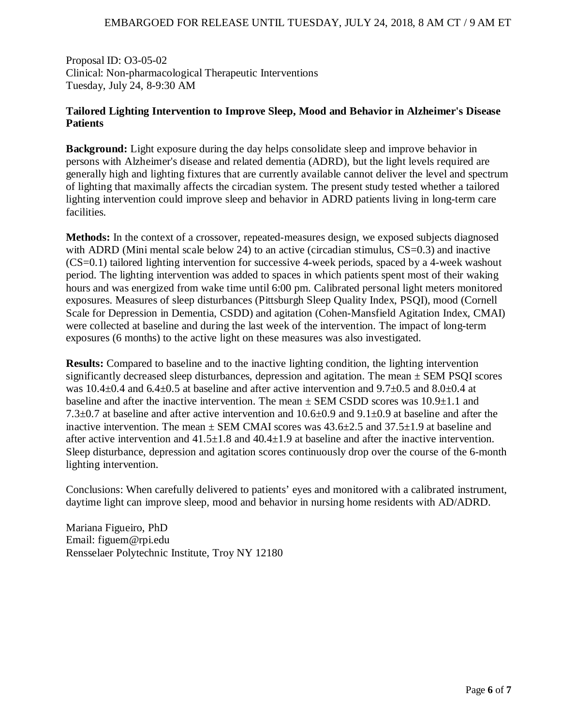Proposal ID: O3-05-02 Clinical: Non-pharmacological Therapeutic Interventions Tuesday, July 24, 8-9:30 AM

## **Tailored Lighting Intervention to Improve Sleep, Mood and Behavior in Alzheimer's Disease Patients**

**Background:** Light exposure during the day helps consolidate sleep and improve behavior in persons with Alzheimer's disease and related dementia (ADRD), but the light levels required are generally high and lighting fixtures that are currently available cannot deliver the level and spectrum of lighting that maximally affects the circadian system. The present study tested whether a tailored lighting intervention could improve sleep and behavior in ADRD patients living in long-term care facilities.

**Methods:** In the context of a crossover, repeated-measures design, we exposed subjects diagnosed with ADRD (Mini mental scale below 24) to an active (circadian stimulus,  $CS=0.3$ ) and inactive  $(CS=0.1)$  tailored lighting intervention for successive 4-week periods, spaced by a 4-week washout period. The lighting intervention was added to spaces in which patients spent most of their waking hours and was energized from wake time until 6:00 pm. Calibrated personal light meters monitored exposures. Measures of sleep disturbances (Pittsburgh Sleep Quality Index, PSQI), mood (Cornell Scale for Depression in Dementia, CSDD) and agitation (Cohen-Mansfield Agitation Index, CMAI) were collected at baseline and during the last week of the intervention. The impact of long-term exposures (6 months) to the active light on these measures was also investigated.

**Results:** Compared to baseline and to the inactive lighting condition, the lighting intervention significantly decreased sleep disturbances, depression and agitation. The mean  $\pm$  SEM PSQI scores was 10.4±0.4 and 6.4±0.5 at baseline and after active intervention and 9.7±0.5 and 8.0±0.4 at baseline and after the inactive intervention. The mean  $\pm$  SEM CSDD scores was 10.9 $\pm$ 1.1 and 7.3±0.7 at baseline and after active intervention and 10.6±0.9 and 9.1±0.9 at baseline and after the inactive intervention. The mean  $\pm$  SEM CMAI scores was 43.6 $\pm$ 2.5 and 37.5 $\pm$ 1.9 at baseline and after active intervention and  $41.5 \pm 1.8$  and  $40.4 \pm 1.9$  at baseline and after the inactive intervention. Sleep disturbance, depression and agitation scores continuously drop over the course of the 6-month lighting intervention.

Conclusions: When carefully delivered to patients' eyes and monitored with a calibrated instrument, daytime light can improve sleep, mood and behavior in nursing home residents with AD/ADRD.

Mariana Figueiro, PhD Email: figuem@rpi.edu Rensselaer Polytechnic Institute, Troy NY 12180